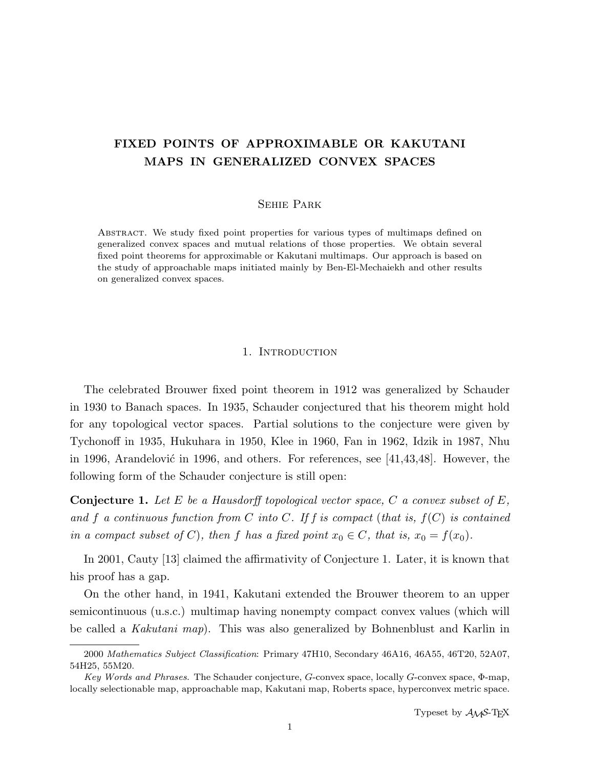# FIXED POINTS OF APPROXIMABLE OR KAKUTANI MAPS IN GENERALIZED CONVEX SPACES

## Sehie Park

Abstract. We study fixed point properties for various types of multimaps defined on generalized convex spaces and mutual relations of those properties. We obtain several fixed point theorems for approximable or Kakutani multimaps. Our approach is based on the study of approachable maps initiated mainly by Ben-El-Mechaiekh and other results on generalized convex spaces.

#### 1. INTRODUCTION

The celebrated Brouwer fixed point theorem in 1912 was generalized by Schauder in 1930 to Banach spaces. In 1935, Schauder conjectured that his theorem might hold for any topological vector spaces. Partial solutions to the conjecture were given by Tychonoff in 1935, Hukuhara in 1950, Klee in 1960, Fan in 1962, Idzik in 1987, Nhu in 1996, Arandelović in 1996, and others. For references, see  $[41,43,48]$ . However, the following form of the Schauder conjecture is still open:

**Conjecture 1.** Let E be a Hausdorff topological vector space, C a convex subset of E, and f a continuous function from C into C. If f is compact (that is,  $f(C)$  is contained in a compact subset of C), then f has a fixed point  $x_0 \in C$ , that is,  $x_0 = f(x_0)$ .

In 2001, Cauty [13] claimed the affirmativity of Conjecture 1. Later, it is known that his proof has a gap.

On the other hand, in 1941, Kakutani extended the Brouwer theorem to an upper semicontinuous (u.s.c.) multimap having nonempty compact convex values (which will be called a Kakutani map). This was also generalized by Bohnenblust and Karlin in

<sup>2000</sup> Mathematics Subject Classification: Primary 47H10, Secondary 46A16, 46A55, 46T20, 52A07, 54H25, 55M20.

Key Words and Phrases. The Schauder conjecture, G-convex space, locally G-convex space, Φ-map, locally selectionable map, approachable map, Kakutani map, Roberts space, hyperconvex metric space.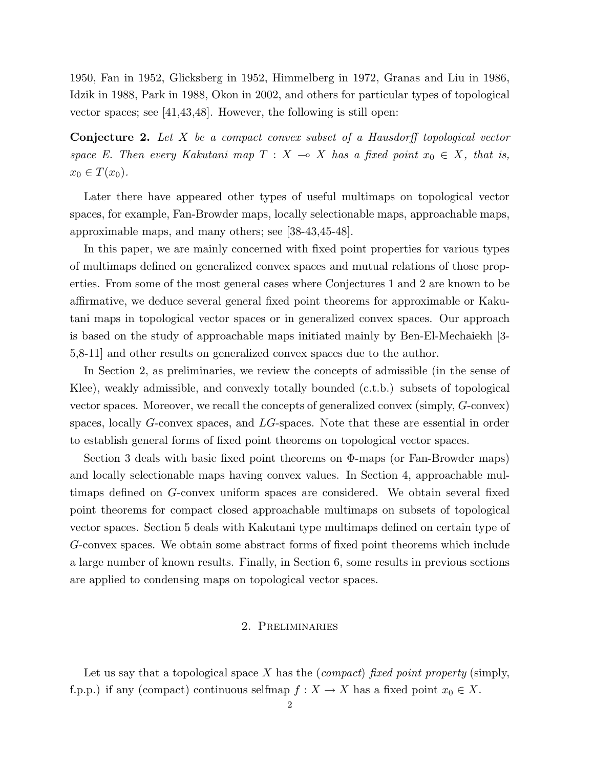1950, Fan in 1952, Glicksberg in 1952, Himmelberg in 1972, Granas and Liu in 1986, Idzik in 1988, Park in 1988, Okon in 2002, and others for particular types of topological vector spaces; see [41,43,48]. However, the following is still open:

Conjecture 2. Let X be a compact convex subset of a Hausdorff topological vector space E. Then every Kakutani map  $T : X \to X$  has a fixed point  $x_0 \in X$ , that is,  $x_0 \in T(x_0)$ .

Later there have appeared other types of useful multimaps on topological vector spaces, for example, Fan-Browder maps, locally selectionable maps, approachable maps, approximable maps, and many others; see [38-43,45-48].

In this paper, we are mainly concerned with fixed point properties for various types of multimaps defined on generalized convex spaces and mutual relations of those properties. From some of the most general cases where Conjectures 1 and 2 are known to be affirmative, we deduce several general fixed point theorems for approximable or Kakutani maps in topological vector spaces or in generalized convex spaces. Our approach is based on the study of approachable maps initiated mainly by Ben-El-Mechaiekh [3- 5,8-11] and other results on generalized convex spaces due to the author.

In Section 2, as preliminaries, we review the concepts of admissible (in the sense of Klee), weakly admissible, and convexly totally bounded (c.t.b.) subsets of topological vector spaces. Moreover, we recall the concepts of generalized convex (simply, G-convex) spaces, locally G-convex spaces, and LG-spaces. Note that these are essential in order to establish general forms of fixed point theorems on topological vector spaces.

Section 3 deals with basic fixed point theorems on Φ-maps (or Fan-Browder maps) and locally selectionable maps having convex values. In Section 4, approachable multimaps defined on G-convex uniform spaces are considered. We obtain several fixed point theorems for compact closed approachable multimaps on subsets of topological vector spaces. Section 5 deals with Kakutani type multimaps defined on certain type of G-convex spaces. We obtain some abstract forms of fixed point theorems which include a large number of known results. Finally, in Section 6, some results in previous sections are applied to condensing maps on topological vector spaces.

# 2. Preliminaries

Let us say that a topological space  $X$  has the *(compact) fixed point property (simply,* f.p.p.) if any (compact) continuous selfmap  $f : X \to X$  has a fixed point  $x_0 \in X$ .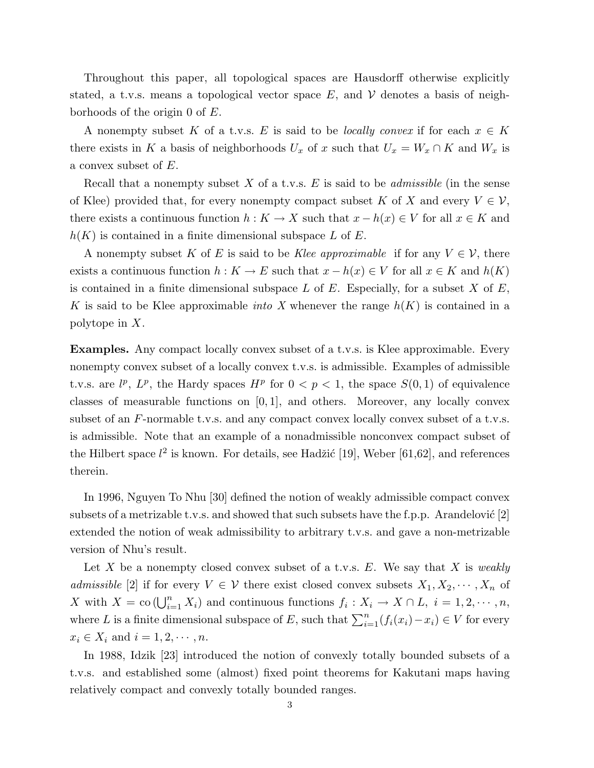Throughout this paper, all topological spaces are Hausdorff otherwise explicitly stated, a t.v.s. means a topological vector space  $E$ , and  $V$  denotes a basis of neighborhoods of the origin 0 of E.

A nonempty subset K of a t.v.s. E is said to be locally convex if for each  $x \in K$ there exists in K a basis of neighborhoods  $U_x$  of x such that  $U_x = W_x \cap K$  and  $W_x$  is a convex subset of E.

Recall that a nonempty subset X of a t.v.s.  $E$  is said to be *admissible* (in the sense of Klee) provided that, for every nonempty compact subset K of X and every  $V \in V$ , there exists a continuous function  $h: K \to X$  such that  $x - h(x) \in V$  for all  $x \in K$  and  $h(K)$  is contained in a finite dimensional subspace L of E.

A nonempty subset K of E is said to be Klee approximable if for any  $V \in \mathcal{V}$ , there exists a continuous function  $h: K \to E$  such that  $x - h(x) \in V$  for all  $x \in K$  and  $h(K)$ is contained in a finite dimensional subspace L of E. Especially, for a subset X of  $E$ , K is said to be Klee approximable *into X* whenever the range  $h(K)$  is contained in a polytope in X.

Examples. Any compact locally convex subset of a t.v.s. is Klee approximable. Every nonempty convex subset of a locally convex t.v.s. is admissible. Examples of admissible t.v.s. are  $l^p$ ,  $L^p$ , the Hardy spaces  $H^p$  for  $0 < p < 1$ , the space  $S(0, 1)$  of equivalence classes of measurable functions on  $[0, 1]$ , and others. Moreover, any locally convex subset of an  $F$ -normable t.v.s. and any compact convex locally convex subset of a t.v.s. is admissible. Note that an example of a nonadmissible nonconvex compact subset of the Hilbert space  $l^2$  is known. For details, see Hadžić [19], Weber [61,62], and references therein.

In 1996, Nguyen To Nhu [30] defined the notion of weakly admissible compact convex subsets of a metrizable t.v.s. and showed that such subsets have the f.p.p. Arandelovic  $[2]$ extended the notion of weak admissibility to arbitrary t.v.s. and gave a non-metrizable version of Nhu's result.

Let X be a nonempty closed convex subset of a t.v.s. E. We say that X is weakly admissible [2] if for every  $V \in \mathcal{V}$  there exist closed convex subsets  $X_1, X_2, \cdots, X_n$  of X with  $X = \text{co}(\bigcup_{i=1}^{n} X_i)$  and continuous functions  $f_i: X_i \to X \cap L, i = 1, 2, \dots, n$ , where L is a finite dimensional subspace of E, such that  $\sum_{i=1}^{n} (f_i(x_i) - x_i) \in V$  for every  $x_i \in X_i$  and  $i = 1, 2, \dots, n$ .

In 1988, Idzik [23] introduced the notion of convexly totally bounded subsets of a t.v.s. and established some (almost) fixed point theorems for Kakutani maps having relatively compact and convexly totally bounded ranges.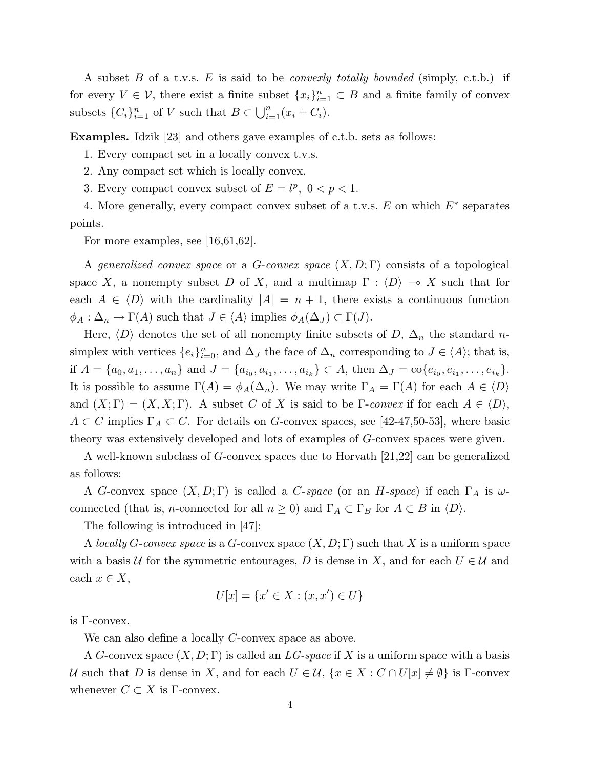A subset B of a t.v.s. E is said to be *convexly totally bounded* (simply, c.t.b.) if for every  $V \in \mathcal{V}$ , there exist a finite subset  $\{x_i\}_{i=1}^n \subset B$  and a finite family of convex subsets  ${C_i}_{i=1}^n$  of V such that  $B \subset$  $\frac{5a}{n}$  $\sum_{i=1}^{n} (x_i + C_i).$ 

Examples. Idzik [23] and others gave examples of c.t.b. sets as follows:

1. Every compact set in a locally convex t.v.s.

- 2. Any compact set which is locally convex.
- 3. Every compact convex subset of  $E = l^p$ ,  $0 < p < 1$ .

4. More generally, every compact convex subset of a t.v.s.  $E$  on which  $E^*$  separates points.

For more examples, see [16,61,62].

A generalized convex space or a G-convex space  $(X, D; \Gamma)$  consists of a topological space X, a nonempty subset D of X, and a multimap  $\Gamma : \langle D \rangle \to X$  such that for each  $A \in \langle D \rangle$  with the cardinality  $|A| = n + 1$ , there exists a continuous function  $\phi_A : \Delta_n \to \Gamma(A)$  such that  $J \in \langle A \rangle$  implies  $\phi_A(\Delta_J) \subset \Gamma(J)$ .

Here,  $\langle D \rangle$  denotes the set of all nonempty finite subsets of D,  $\Delta_n$  the standard nsimplex with vertices  $\{e_i\}_{i=0}^n$ , and  $\Delta_J$  the face of  $\Delta_n$  corresponding to  $J \in \langle A \rangle$ ; that is, if  $A = \{a_0, a_1, \ldots, a_n\}$  and  $J = \{a_{i_0}, a_{i_1}, \ldots, a_{i_k}\} \subset A$ , then  $\Delta_J = \text{co}\{e_{i_0}, e_{i_1}, \ldots, e_{i_k}\}.$ It is possible to assume  $\Gamma(A) = \phi_A(\Delta_n)$ . We may write  $\Gamma_A = \Gamma(A)$  for each  $A \in \langle D \rangle$ and  $(X; \Gamma) = (X, X; \Gamma)$ . A subset C of X is said to be  $\Gamma$ -convex if for each  $A \in \langle D \rangle$ ,  $A \subset C$  implies  $\Gamma_A \subset C$ . For details on G-convex spaces, see [42-47,50-53], where basic theory was extensively developed and lots of examples of G-convex spaces were given.

A well-known subclass of G-convex spaces due to Horvath [21,22] can be generalized as follows:

A G-convex space  $(X, D; \Gamma)$  is called a C-space (or an H-space) if each  $\Gamma_A$  is  $\omega$ connected (that is, *n*-connected for all  $n \ge 0$ ) and  $\Gamma_A \subset \Gamma_B$  for  $A \subset B$  in  $\langle D \rangle$ .

The following is introduced in [47]:

A locally G-convex space is a G-convex space  $(X, D; \Gamma)$  such that X is a uniform space with a basis U for the symmetric entourages, D is dense in X, and for each  $U \in U$  and each  $x \in X$ ,

$$
U[x] = \{x' \in X : (x, x') \in U\}
$$

is Γ-convex.

We can also define a locally C-convex space as above.

A G-convex space  $(X, D; \Gamma)$  is called an LG-space if X is a uniform space with a basis U such that D is dense in X, and for each  $U \in \mathcal{U}$ ,  $\{x \in X : C \cap U[x] \neq \emptyset\}$  is  $\Gamma$ -convex whenever  $C \subset X$  is  $\Gamma$ -convex.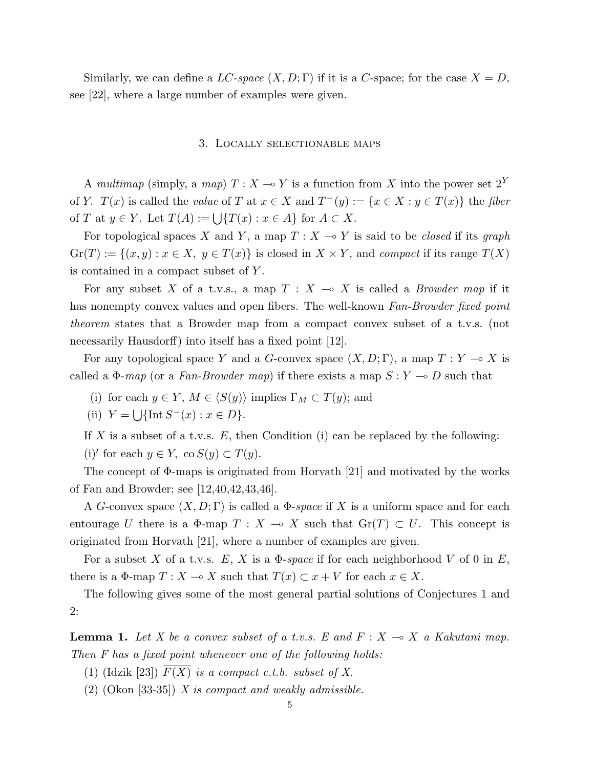Similarly, we can define a  $LC\text{-}space(X, D; \Gamma)$  if it is a C-space; for the case  $X = D$ , see [22], where a large number of examples were given.

#### 3. Locally selectionable maps

A multimap (simply, a map)  $T : X \longrightarrow Y$  is a function from X into the power set  $2^Y$ of Y.  $T(x)$  is called the value of T at  $x \in X$  and  $T^-(y) := \{x \in X : y \in T(x)\}\)$  the fiber of T at  $y \in Y$ . Let  $T(A) := \bigcup \{T(x) : x \in A\}$  for  $A \subset X$ .

For topological spaces X and Y, a map  $T : X \longrightarrow Y$  is said to be closed if its graph  $\mathrm{Gr}(T) := \{(x, y) : x \in X, y \in T(x)\}\$ is closed in  $X \times Y$ , and compact if its range  $T(X)$ is contained in a compact subset of Y .

For any subset X of a t.v.s., a map  $T : X \rightarrow X$  is called a *Browder map* if it has nonempty convex values and open fibers. The well-known Fan-Browder fixed point theorem states that a Browder map from a compact convex subset of a t.v.s. (not necessarily Hausdorff) into itself has a fixed point [12].

For any topological space Y and a G-convex space  $(X, D; \Gamma)$ , a map  $T: Y \multimap X$  is called a  $\Phi$ -map (or a Fan-Browder map) if there exists a map  $S: Y \to D$  such that

- (i) for each  $y \in Y$ ,  $M \in \langle S(y) \rangle$  implies  $\Gamma_M \subset T(y)$ ; and  $\sum_{i=1}^{\infty}$
- $(ii)$   $Y =$  $\{\text{Int}\,S^{-}(x): x \in D\}.$

If X is a subset of a t.v.s.  $E$ , then Condition (i) can be replaced by the following:

(i)' for each  $y \in Y$ , co  $S(y) \subset T(y)$ .

The concept of Φ-maps is originated from Horvath [21] and motivated by the works of Fan and Browder; see [12,40,42,43,46].

A G-convex space  $(X, D; \Gamma)$  is called a  $\Phi$ -space if X is a uniform space and for each entourage U there is a  $\Phi$ -map  $T : X \multimap X$  such that  $Gr(T) \subset U$ . This concept is originated from Horvath [21], where a number of examples are given.

For a subset X of a t.v.s. E, X is a  $\Phi$ -space if for each neighborhood V of 0 in E, there is a  $\Phi$ -map  $T : X \to X$  such that  $T(x) \subset x + V$  for each  $x \in X$ .

The following gives some of the most general partial solutions of Conjectures 1 and 2:

**Lemma 1.** Let X be a convex subset of a t.v.s. E and  $F: X \rightarrow X$  a Kakutani map. Then F has a fixed point whenever one of the following holds:

- (1) (Idzik [23])  $F(X)$  is a compact c.t.b. subset of X.
- $(2)$  (Okon [33-35]) X is compact and weakly admissible.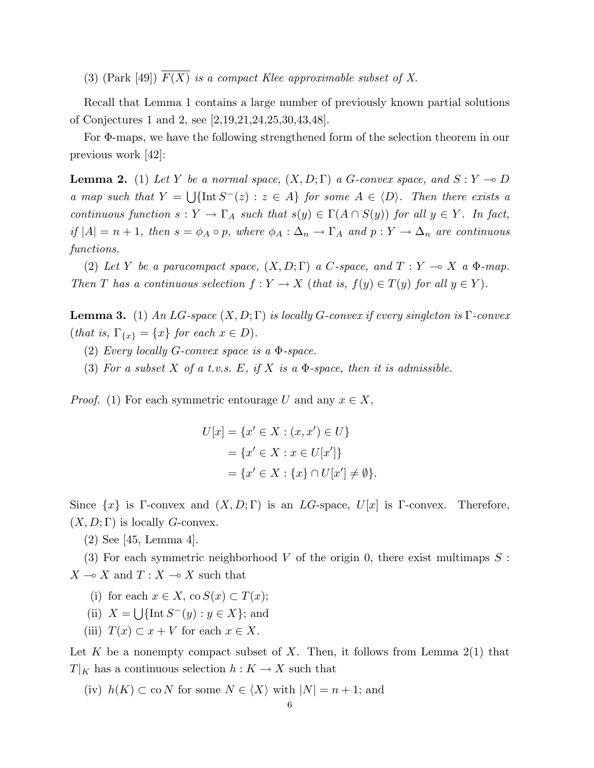(3) (Park [49])  $\overline{F(X)}$  is a compact Klee approximable subset of X.

Recall that Lemma 1 contains a large number of previously known partial solutions of Conjectures 1 and 2, see [2,19,21,24,25,30,43,48].

For Φ-maps, we have the following strengthened form of the selection theorem in our previous work [42]:

**Lemma 2.** (1) Let Y be a normal space,  $(X, D; \Gamma)$  a G-convex space, and  $S: Y \to D$ a map such that  $Y =$  $\frac{3}{1}$  $\{\text{Int } S^{-}(z) : z \in A\}$  for some  $A \in \langle D \rangle$ . Then there exists a continuous function  $s: Y \to \Gamma_A$  such that  $s(y) \in \Gamma(A \cap S(y))$  for all  $y \in Y$ . In fact, if  $|A| = n + 1$ , then  $s = \phi_A \circ p$ , where  $\phi_A : \Delta_n \to \Gamma_A$  and  $p : Y \to \Delta_n$  are continuous functions.

(2) Let Y be a paracompact space,  $(X, D; \Gamma)$  a C-space, and  $T: Y \multimap X$  a  $\Phi$ -map. Then T has a continuous selection  $f: Y \to X$  (that is,  $f(y) \in T(y)$  for all  $y \in Y$ ).

**Lemma 3.** (1) An LG-space  $(X, D; \Gamma)$  is locally G-convex if every singleton is  $\Gamma$ -convex (that is,  $\Gamma_{\{x\}} = \{x\}$  for each  $x \in D$ ).

- (2) Every locally G-convex space is a  $\Phi$ -space.
- (3) For a subset X of a t.v.s. E, if X is a  $\Phi$ -space, then it is admissible.

*Proof.* (1) For each symmetric entourage U and any  $x \in X$ ,

$$
U[x] = \{x' \in X : (x, x') \in U\}
$$
  
=  $\{x' \in X : x \in U[x']\}$   
=  $\{x' \in X : \{x\} \cap U[x'] \neq \emptyset\}.$ 

Since  $\{x\}$  is Γ-convex and  $(X, D; \Gamma)$  is an LG-space,  $U[x]$  is Γ-convex. Therefore,  $(X, D; \Gamma)$  is locally *G*-convex.

(2) See [45, Lemma 4].

(3) For each symmetric neighborhood V of the origin 0, there exist multimaps  $S$ :  $X \multimap X$  and  $T : X \multimap X$  such that

- (i) for each  $x \in X$ , co  $S(x) \subset T(x)$ ;  $\frac{1}{1}$
- $(ii) X =$  $\{\text{Int}\,S^{-}(y):y\in X\};\,$  and
- (iii)  $T(x) \subset x + V$  for each  $x \in X$ .

Let K be a nonempty compact subset of X. Then, it follows from Lemma  $2(1)$  that  $T|_K$  has a continuous selection  $h: K \to X$  such that

(iv)  $h(K) \subset \text{co } N$  for some  $N \in \langle X \rangle$  with  $|N| = n + 1$ ; and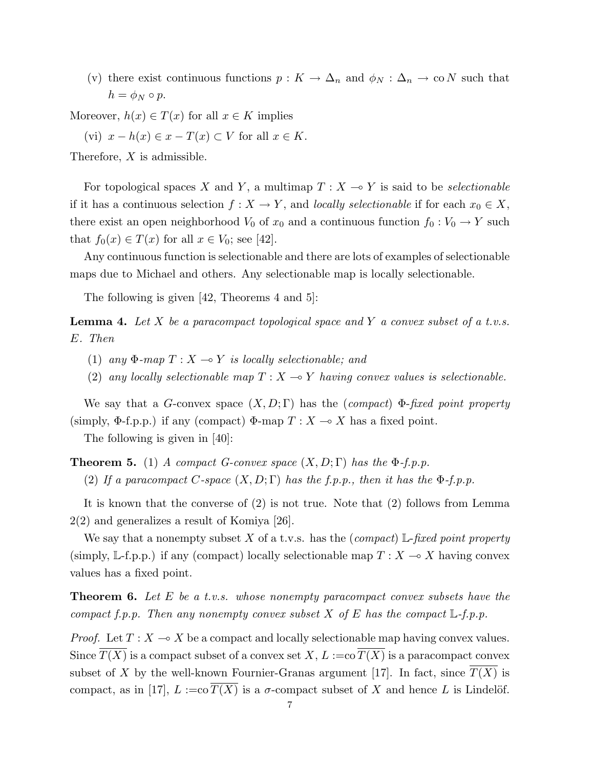(v) there exist continuous functions  $p: K \to \Delta_n$  and  $\phi_N: \Delta_n \to \infty N$  such that  $h = \phi_N \circ p$ .

Moreover,  $h(x) \in T(x)$  for all  $x \in K$  implies

(vi)  $x - h(x) \in x - T(x) \subset V$  for all  $x \in K$ .

Therefore, X is admissible.

For topological spaces X and Y, a multimap  $T : X \rightarrow Y$  is said to be selectionable if it has a continuous selection  $f: X \to Y$ , and *locally selectionable* if for each  $x_0 \in X$ , there exist an open neighborhood  $V_0$  of  $x_0$  and a continuous function  $f_0 : V_0 \to Y$  such that  $f_0(x) \in T(x)$  for all  $x \in V_0$ ; see [42].

Any continuous function is selectionable and there are lots of examples of selectionable maps due to Michael and others. Any selectionable map is locally selectionable.

The following is given [42, Theorems 4 and 5]:

**Lemma 4.** Let  $X$  be a paracompact topological space and  $Y$  a convex subset of a t.v.s. E. Then

- (1) any  $\Phi$ -map  $T : X \to Y$  is locally selectionable; and
- (2) any locally selectionable map  $T : X \rightarrow Y$  having convex values is selectionable.

We say that a G-convex space  $(X, D; \Gamma)$  has the (compact)  $\Phi$ -fixed point property (simply,  $\Phi$ -f.p.p.) if any (compact)  $\Phi$ -map  $T : X \longrightarrow X$  has a fixed point.

The following is given in [40]:

**Theorem 5.** (1) A compact G-convex space  $(X, D; \Gamma)$  has the  $\Phi$ -f.p.p.

(2) If a paracompact C-space  $(X, D; \Gamma)$  has the f.p.p., then it has the  $\Phi$ -f.p.p.

It is known that the converse of (2) is not true. Note that (2) follows from Lemma 2(2) and generalizes a result of Komiya [26].

We say that a nonempty subset X of a t.v.s. has the (compact) L-fixed point property (simply, L-f.p.p.) if any (compact) locally selectionable map  $T : X \longrightarrow X$  having convex values has a fixed point.

**Theorem 6.** Let E be a t.v.s. whose nonempty paracompact convex subsets have the compact f.p.p. Then any nonempty convex subset X of E has the compact  $\mathbb{L}\text{-}f.p.p.$ 

*Proof.* Let  $T : X \to X$  be a compact and locally selectionable map having convex values. Since  $\overline{T(X)}$  is a compact subset of a convex set  $X, L := \text{co }\overline{T(X)}$  is a paracompact convex subset of X by the well-known Fournier-Granas argument [17]. In fact, since  $\overline{T(X)}$  is compact, as in [17],  $L := \text{co }\overline{T(X)}$  is a  $\sigma$ -compact subset of X and hence L is Lindelöf.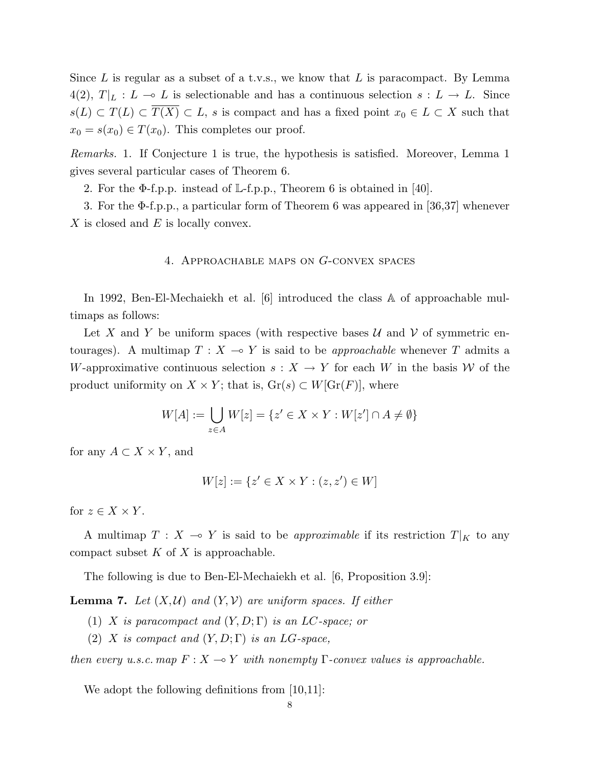Since L is regular as a subset of a t.v.s., we know that L is paracompact. By Lemma 4(2),  $T|_L : L \to L$  is selectionable and has a continuous selection  $s : L \to L$ . Since  $s(L) \subset T(L) \subset \overline{T(X)} \subset L$ , s is compact and has a fixed point  $x_0 \in L \subset X$  such that  $x_0 = s(x_0) \in T(x_0)$ . This completes our proof.

Remarks. 1. If Conjecture 1 is true, the hypothesis is satisfied. Moreover, Lemma 1 gives several particular cases of Theorem 6.

2. For the Φ-f.p.p. instead of L-f.p.p., Theorem 6 is obtained in [40].

3. For the Φ-f.p.p., a particular form of Theorem 6 was appeared in [36,37] whenever  $X$  is closed and  $E$  is locally convex.

# 4. Approachable maps on G-convex spaces

In 1992, Ben-El-Mechaiekh et al. [6] introduced the class A of approachable multimaps as follows:

Let X and Y be uniform spaces (with respective bases  $\mathcal U$  and  $\mathcal V$  of symmetric entourages). A multimap  $T : X \to Y$  is said to be *approachable* whenever T admits a W-approximative continuous selection  $s: X \to Y$  for each W in the basis W of the product uniformity on  $X \times Y$ ; that is,  $\text{Gr}(s) \subset W[\text{Gr}(F)]$ , where

$$
W[A] := \bigcup_{z \in A} W[z] = \{ z' \in X \times Y : W[z'] \cap A \neq \emptyset \}
$$

for any  $A \subset X \times Y$ , and

$$
W[z] := \{ z' \in X \times Y : (z, z') \in W \}
$$

for  $z \in X \times Y$ .

A multimap  $T : X \multimap Y$  is said to be *approximable* if its restriction  $T|_K$  to any compact subset  $K$  of  $X$  is approachable.

The following is due to Ben-El-Mechaiekh et al. [6, Proposition 3.9]:

**Lemma 7.** Let  $(X, \mathcal{U})$  and  $(Y, \mathcal{V})$  are uniform spaces. If either

- (1) X is paracompact and  $(Y, D; \Gamma)$  is an LC-space; or
- (2) X is compact and  $(Y, D; \Gamma)$  is an LG-space,

then every u.s.c. map  $F: X \to Y$  with nonempty  $\Gamma$ -convex values is approachable.

We adopt the following definitions from [10,11]: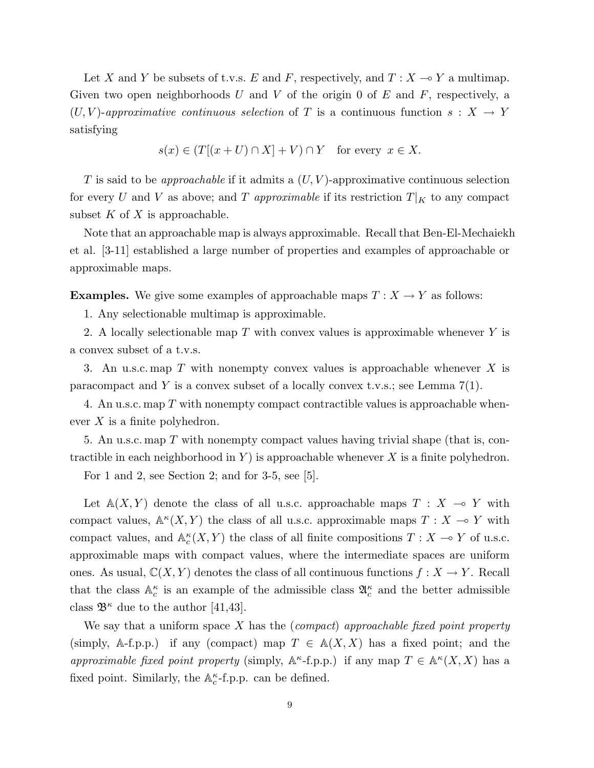Let X and Y be subsets of t.v.s. E and F, respectively, and  $T : X \longrightarrow Y$  a multimap. Given two open neighborhoods  $U$  and  $V$  of the origin 0 of  $E$  and  $F$ , respectively, a  $(U, V)$ -approximative continuous selection of T is a continuous function  $s: X \to Y$ satisfying

$$
s(x) \in (T[(x+U) \cap X] + V) \cap Y \quad \text{for every } x \in X.
$$

T is said to be *approachable* if it admits a  $(U, V)$ -approximative continuous selection for every U and V as above; and T approximable if its restriction  $T|_K$  to any compact subset  $K$  of  $X$  is approachable.

Note that an approachable map is always approximable. Recall that Ben-El-Mechaiekh et al. [3-11] established a large number of properties and examples of approachable or approximable maps.

**Examples.** We give some examples of approachable maps  $T : X \to Y$  as follows:

1. Any selectionable multimap is approximable.

2. A locally selectionable map  $T$  with convex values is approximable whenever  $Y$  is a convex subset of a t.v.s.

3. An u.s.c. map  $T$  with nonempty convex values is approachable whenever  $X$  is paracompact and Y is a convex subset of a locally convex t.v.s.; see Lemma 7(1).

4. An u.s.c. map T with nonempty compact contractible values is approachable whenever X is a finite polyhedron.

5. An u.s.c. map T with nonempty compact values having trivial shape (that is, contractible in each neighborhood in Y is approachable whenever X is a finite polyhedron.

For 1 and 2, see Section 2; and for 3-5, see  $[5]$ .

Let  $\mathbb{A}(X, Y)$  denote the class of all u.s.c. approachable maps  $T : X \to Y$  with compact values,  $\mathbb{A}^{\kappa}(X, Y)$  the class of all u.s.c. approximable maps  $T : X \to Y$  with compact values, and  $\mathbb{A}_{c}^{\kappa}(X, Y)$  the class of all finite compositions  $T : X \to Y$  of u.s.c. approximable maps with compact values, where the intermediate spaces are uniform ones. As usual,  $\mathbb{C}(X, Y)$  denotes the class of all continuous functions  $f : X \to Y$ . Recall that the class  $\mathbb{A}_{c}^{\kappa}$  is an example of the admissible class  $\mathfrak{A}_{c}^{\kappa}$  and the better admissible class  $\mathfrak{B}^{\kappa}$  due to the author [41,43].

We say that a uniform space X has the (compact) approachable fixed point property (simply, A-f.p.p.) if any (compact) map  $T \in A(X,X)$  has a fixed point; and the approximable fixed point property (simply,  $A^{\kappa}$ -f.p.p.) if any map  $T \in A^{\kappa}(X, X)$  has a fixed point. Similarly, the  $\mathbb{A}_c^{\kappa}$ -f.p.p. can be defined.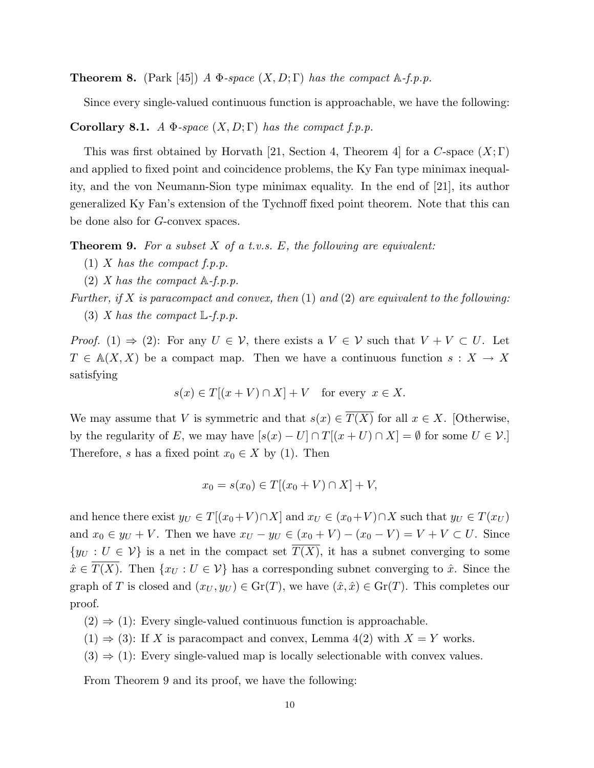**Theorem 8.** (Park [45]) A  $\Phi$ -space  $(X, D; \Gamma)$  has the compact A-f.p.p.

Since every single-valued continuous function is approachable, we have the following:

# Corollary 8.1. A  $\Phi$ -space  $(X, D; \Gamma)$  has the compact f.p.p.

This was first obtained by Horvath [21, Section 4, Theorem 4] for a C-space  $(X; \Gamma)$ and applied to fixed point and coincidence problems, the Ky Fan type minimax inequality, and the von Neumann-Sion type minimax equality. In the end of [21], its author generalized Ky Fan's extension of the Tychnoff fixed point theorem. Note that this can be done also for G-convex spaces.

**Theorem 9.** For a subset  $X$  of a t.v.s. E, the following are equivalent:

- $(1)$  X has the compact f.p.p.
- (2) X has the compact  $\mathbb{A}-f$ .p.p.
- Further, if X is paracompact and convex, then  $(1)$  and  $(2)$  are equivalent to the following: (3) X has the compact  $\mathbb{L}\text{-}f.p.p.$

*Proof.* (1)  $\Rightarrow$  (2): For any  $U \in V$ , there exists a  $V \in V$  such that  $V + V \subset U$ . Let  $T \in A(X, X)$  be a compact map. Then we have a continuous function  $s : X \to X$ satisfying

$$
s(x) \in T[(x+V) \cap X] + V
$$
 for every  $x \in X$ .

We may assume that V is symmetric and that  $s(x) \in \overline{T(X)}$  for all  $x \in X$ . [Otherwise, by the regularity of E, we may have  $[s(x) - U] \cap T[(x + U) \cap X] = \emptyset$  for some  $U \in V$ . Therefore, s has a fixed point  $x_0 \in X$  by (1). Then

$$
x_0 = s(x_0) \in T[(x_0 + V) \cap X] + V,
$$

and hence there exist  $y_U \in T[(x_0+V) \cap X]$  and  $x_U \in (x_0+V) \cap X$  such that  $y_U \in T(x_U)$ and  $x_0 \in y_U + V$ . Then we have  $x_U - y_U \in (x_0 + V) - (x_0 - V) = V + V \subset U$ . Since  $\{y_U: U \in \mathcal{V}\}\$ is a net in the compact set  $\overline{T(X)}$ , it has a subnet converging to some  $\hat{x} \in \overline{T(X)}$ . Then  $\{x_U : U \in \mathcal{V}\}$  has a corresponding subnet converging to  $\hat{x}$ . Since the graph of T is closed and  $(x_U, y_U) \in \text{Gr}(T)$ , we have  $(\hat{x}, \hat{x}) \in \text{Gr}(T)$ . This completes our proof.

- $(2) \Rightarrow (1)$ : Every single-valued continuous function is approachable.
- $(1) \Rightarrow (3)$ : If X is paracompact and convex, Lemma 4(2) with  $X = Y$  works.
- $(3) \Rightarrow (1)$ : Every single-valued map is locally selectionable with convex values.

From Theorem 9 and its proof, we have the following: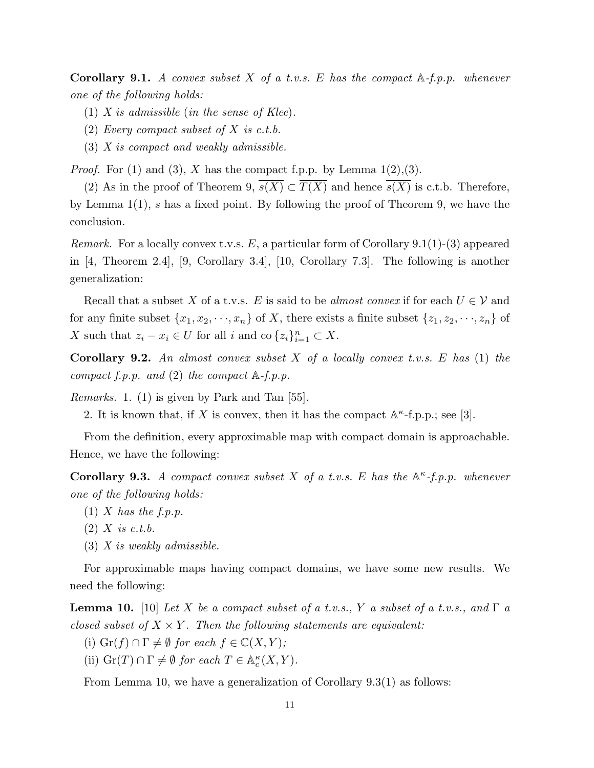**Corollary 9.1.** A convex subset X of a t.v.s. E has the compact  $A$ -f.p.p. whenever one of the following holds:

- (1) X is admissible (in the sense of Klee).
- (2) Every compact subset of  $X$  is c.t.b.
- (3) X is compact and weakly admissible.

*Proof.* For  $(1)$  and  $(3)$ , X has the compact f.p.p. by Lemma  $1(2),(3)$ .

(2) As in the proof of Theorem 9,  $\overline{s(X)} \subset \overline{T(X)}$  and hence  $\overline{s(X)}$  is c.t.b. Therefore, by Lemma 1(1), s has a fixed point. By following the proof of Theorem 9, we have the conclusion.

Remark. For a locally convex t.v.s.  $E$ , a particular form of Corollary 9.1(1)-(3) appeared in [4, Theorem 2.4], [9, Corollary 3.4], [10, Corollary 7.3]. The following is another generalization:

Recall that a subset X of a t.v.s. E is said to be almost convex if for each  $U \in \mathcal{V}$  and for any finite subset  $\{x_1, x_2, \dots, x_n\}$  of X, there exists a finite subset  $\{z_1, z_2, \dots, z_n\}$  of X such that  $z_i - x_i \in U$  for all i and co  $\{z_i\}_{i=1}^n \subset X$ .

Corollary 9.2. An almost convex subset  $X$  of a locally convex t.v.s.  $E$  has (1) the compact f.p.p. and  $(2)$  the compact  $\mathbb{A}-f$ .p.p.

Remarks. 1. (1) is given by Park and Tan [55].

2. It is known that, if X is convex, then it has the compact  $\mathbb{A}^{\kappa}$ -f.p.p.; see [3].

From the definition, every approximable map with compact domain is approachable. Hence, we have the following:

Corollary 9.3. A compact convex subset X of a t.v.s. E has the  $A^{\kappa}$ -f.p.p. whenever one of the following holds:

- $(1)$  X has the f.p.p.
- $(2)$  X is c.t.b.
- (3) X is weakly admissible.

For approximable maps having compact domains, we have some new results. We need the following:

**Lemma 10.** [10] Let X be a compact subset of a t.v.s., Y a subset of a t.v.s., and  $\Gamma$  a closed subset of  $X \times Y$ . Then the following statements are equivalent:

- (i)  $\operatorname{Gr}(f) \cap \Gamma \neq \emptyset$  for each  $f \in \mathbb{C}(X, Y)$ ;
- (ii)  $\mathrm{Gr}(T) \cap \Gamma \neq \emptyset$  for each  $T \in \mathbb{A}_c^{\kappa}(X, Y)$ .

From Lemma 10, we have a generalization of Corollary 9.3(1) as follows: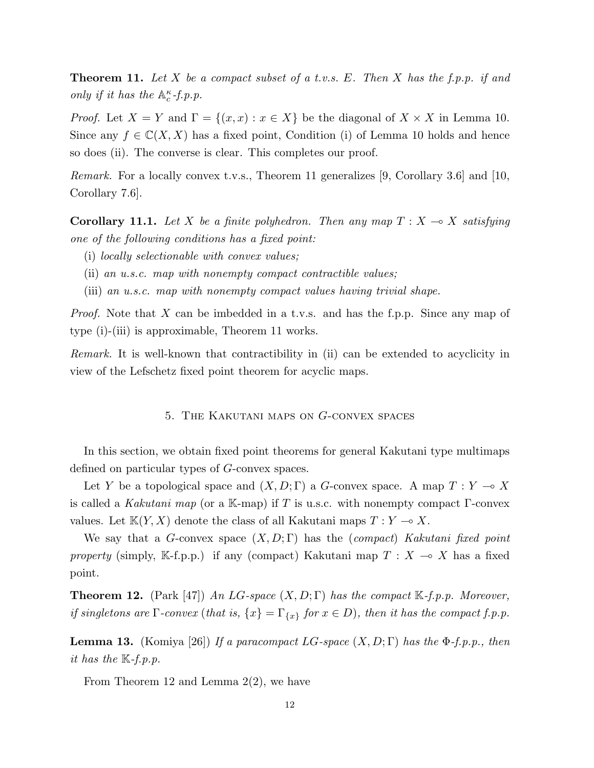**Theorem 11.** Let X be a compact subset of a t.v.s. E. Then X has the f.p.p. if and only if it has the  $\mathbb{A}_{c}^{\kappa}$ -f.p.p.

*Proof.* Let  $X = Y$  and  $\Gamma = \{(x, x) : x \in X\}$  be the diagonal of  $X \times X$  in Lemma 10. Since any  $f \in \mathbb{C}(X, X)$  has a fixed point, Condition (i) of Lemma 10 holds and hence so does (ii). The converse is clear. This completes our proof.

Remark. For a locally convex t.v.s., Theorem 11 generalizes [9, Corollary 3.6] and [10, Corollary 7.6].

**Corollary 11.1.** Let X be a finite polyhedron. Then any map  $T : X \to X$  satisfying one of the following conditions has a fixed point:

- (i) locally selectionable with convex values;
- (ii) an u.s.c. map with nonempty compact contractible values;
- (iii) an u.s.c. map with nonempty compact values having trivial shape.

Proof. Note that X can be imbedded in a t.v.s. and has the f.p.p. Since any map of type (i)-(iii) is approximable, Theorem 11 works.

Remark. It is well-known that contractibility in (ii) can be extended to acyclicity in view of the Lefschetz fixed point theorem for acyclic maps.

# 5. The Kakutani maps on G-convex spaces

In this section, we obtain fixed point theorems for general Kakutani type multimaps defined on particular types of G-convex spaces.

Let Y be a topological space and  $(X, D; \Gamma)$  a G-convex space. A map  $T: Y \to X$ is called a Kakutani map (or a K-map) if T is u.s.c. with nonempty compact  $\Gamma$ -convex values. Let  $\mathbb{K}(Y, X)$  denote the class of all Kakutani maps  $T : Y \longrightarrow X$ .

We say that a G-convex space  $(X, D; \Gamma)$  has the (compact) Kakutani fixed point property (simply, K-f.p.p.) if any (compact) Kakutani map  $T : X \multimap X$  has a fixed point.

**Theorem 12.** (Park [47]) An LG-space  $(X, D; \Gamma)$  has the compact  $\mathbb{K}\text{-}f$ . P.p. Moreover, if singletons are  $\Gamma$ -convex (that is,  $\{x\} = \Gamma_{\{x\}}$  for  $x \in D$ ), then it has the compact f.p.p.

**Lemma 13.** (Komiya [26]) If a paracompact LG-space  $(X, D; \Gamma)$  has the  $\Phi$ -f.p.p., then it has the  $\mathbb{K}\text{-}f.p.p.$ 

From Theorem 12 and Lemma 2(2), we have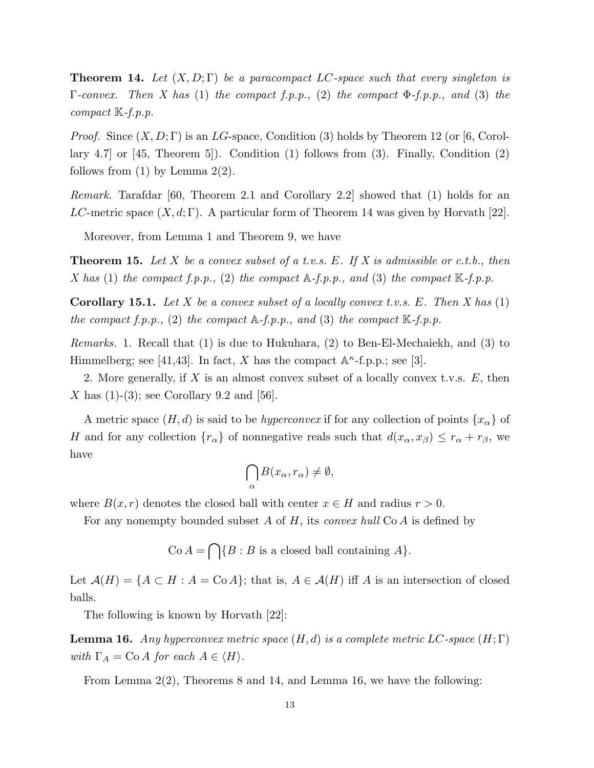**Theorem 14.** Let  $(X, D; \Gamma)$  be a paracompact LC-space such that every singleton is  $\Gamma$ -convex. Then X has (1) the compact f.p.p., (2) the compact  $\Phi$ -f.p.p., and (3) the compact  $\mathbb{K}\text{-}f.p.p.$ 

*Proof.* Since  $(X, D; \Gamma)$  is an LG-space, Condition (3) holds by Theorem 12 (or [6, Corollary 4.7] or [45, Theorem 5]). Condition (1) follows from (3). Finally, Condition (2) follows from  $(1)$  by Lemma  $2(2)$ .

Remark. Tarafdar [60, Theorem 2.1 and Corollary 2.2] showed that (1) holds for an LC-metric space  $(X, d; \Gamma)$ . A particular form of Theorem 14 was given by Horvath [22].

Moreover, from Lemma 1 and Theorem 9, we have

**Theorem 15.** Let X be a convex subset of a t.v.s. E. If X is admissible or c.t.b., then X has (1) the compact f.p.p., (2) the compact  $\mathbb{A}\text{-}f$ .p.p., and (3) the compact  $\mathbb{K}\text{-}f$ .p.p.

**Corollary 15.1.** Let X be a convex subset of a locally convex t.v.s. E. Then X has  $(1)$ the compact f.p.p., (2) the compact  $\mathbb{A}-f$ .p.p., and (3) the compact  $\mathbb{K}-f$ .p.p.

Remarks. 1. Recall that (1) is due to Hukuhara, (2) to Ben-El-Mechaiekh, and (3) to Himmelberg; see [41,43]. In fact, X has the compact  $\mathbb{A}^{\kappa}$ -f.p.p.; see [3].

2. More generally, if X is an almost convex subset of a locally convex t.v.s.  $E$ , then X has  $(1)-(3)$ ; see Corollary 9.2 and [56].

A metric space  $(H, d)$  is said to be *hyperconvex* if for any collection of points  $\{x_{\alpha}\}\$  of H and for any collection  ${r_{\alpha}}$  of nonnegative reals such that  $d(x_{\alpha}, x_{\beta}) \leq r_{\alpha} + r_{\beta}$ , we have  $\sim$ 

$$
\bigcap_{\alpha} B(x_{\alpha}, r_{\alpha}) \neq \emptyset,
$$

where  $B(x, r)$  denotes the closed ball with center  $x \in H$  and radius  $r > 0$ .

For any nonempty bounded subset A of H, its *convex hull*  $Co A$  is defined by

 $Co A =$  $\sim$  ${B : B \text{ is a closed ball containing } A}.$ 

Let  $\mathcal{A}(H) = \{A \subset H : A = \text{Co }A\}$ ; that is,  $A \in \mathcal{A}(H)$  iff A is an intersection of closed balls.

The following is known by Horvath [22]:

**Lemma 16.** Any hyperconvex metric space  $(H, d)$  is a complete metric LC-space  $(H; \Gamma)$ with  $\Gamma_A = \text{Co } A$  for each  $A \in \langle H \rangle$ .

From Lemma 2(2), Theorems 8 and 14, and Lemma 16, we have the following: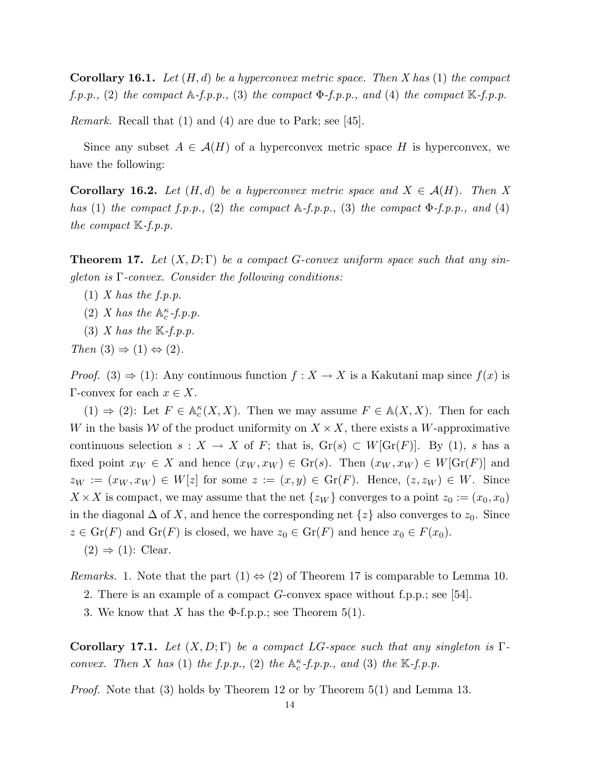**Corollary 16.1.** Let  $(H, d)$  be a hyperconvex metric space. Then X has (1) the compact  $f.p.p., (2)$  the compact  $\mathbb{A}-f.p.p., (3)$  the compact  $\Phi-f.p.p.,$  and (4) the compact  $\mathbb{K}-f.p.p.$ 

Remark. Recall that (1) and (4) are due to Park; see [45].

Since any subset  $A \in \mathcal{A}(H)$  of a hyperconvex metric space H is hyperconvex, we have the following:

**Corollary 16.2.** Let  $(H,d)$  be a hyperconvex metric space and  $X \in \mathcal{A}(H)$ . Then X has (1) the compact f.p.p., (2) the compact  $\mathbb{A}-f$ .p.p., (3) the compact  $\Phi$ -f.p.p., and (4) the compact  $\mathbb{K}\text{-}f.p.p.$ 

**Theorem 17.** Let  $(X, D; \Gamma)$  be a compact G-convex uniform space such that any singleton is  $\Gamma$ -convex. Consider the following conditions:

- $(1)$  X has the f.p.p.
- (2) *X* has the  $\mathbb{A}_c^{\kappa}$ -f.p.p.
- (3) X has the  $\mathbb{K}\text{-}f.p.p.$
- Then  $(3) \Rightarrow (1) \Leftrightarrow (2)$ .

*Proof.* (3)  $\Rightarrow$  (1): Any continuous function  $f: X \to X$  is a Kakutani map since  $f(x)$  is Γ-convex for each  $x \in X$ .

(1)  $\Rightarrow$  (2): Let  $F \in \mathbb{A}_{c}^{\kappa}(X,X)$ . Then we may assume  $F \in \mathbb{A}(X,X)$ . Then for each W in the basis W of the product uniformity on  $X \times X$ , there exists a W-approximative continuous selection  $s: X \to X$  of F; that is,  $Gr(s) \subset W[Gr(F)]$ . By (1), s has a fixed point  $x_W \in X$  and hence  $(x_W, x_W) \in \text{Gr}(s)$ . Then  $(x_W, x_W) \in W[\text{Gr}(F)]$  and  $z_W := (x_W, x_W) \in W[z]$  for some  $z := (x, y) \in Gr(F)$ . Hence,  $(z, z_W) \in W$ . Since  $X \times X$  is compact, we may assume that the net  $\{z_W\}$  converges to a point  $z_0 := (x_0, x_0)$ in the diagonal  $\Delta$  of X, and hence the corresponding net  $\{z\}$  also converges to  $z_0$ . Since  $z \in \text{Gr}(F)$  and  $\text{Gr}(F)$  is closed, we have  $z_0 \in \text{Gr}(F)$  and hence  $x_0 \in F(x_0)$ .  $(2) \Rightarrow (1)$ : Clear.

*Remarks.* 1. Note that the part  $(1) \Leftrightarrow (2)$  of Theorem 17 is comparable to Lemma 10.

2. There is an example of a compact G-convex space without f.p.p.; see [54].

3. We know that X has the  $\Phi$ -f.p.p.; see Theorem 5(1).

Corollary 17.1. Let  $(X, D; \Gamma)$  be a compact LG-space such that any singleton is  $\Gamma$ convex. Then X has (1) the f.p.p., (2) the  $\mathbb{A}_c^{\kappa}$ -f.p.p., and (3) the  $\mathbb{K}$ -f.p.p.

Proof. Note that (3) holds by Theorem 12 or by Theorem 5(1) and Lemma 13.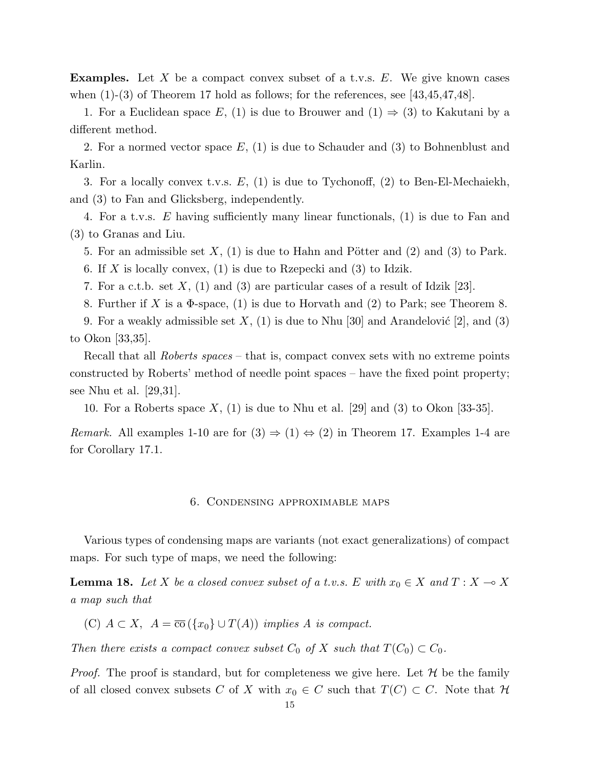**Examples.** Let X be a compact convex subset of a t.v.s.  $E$ . We give known cases when  $(1)-(3)$  of Theorem 17 hold as follows; for the references, see [43,45,47,48].

1. For a Euclidean space E, (1) is due to Brouwer and (1)  $\Rightarrow$  (3) to Kakutani by a different method.

2. For a normed vector space  $E$ , (1) is due to Schauder and (3) to Bohnenblust and Karlin.

3. For a locally convex t.v.s.  $E$ , (1) is due to Tychonoff, (2) to Ben-El-Mechaiekh, and (3) to Fan and Glicksberg, independently.

4. For a t.v.s. E having sufficiently many linear functionals, (1) is due to Fan and (3) to Granas and Liu.

5. For an admissible set  $X$ , (1) is due to Hahn and Pötter and (2) and (3) to Park.

6. If X is locally convex,  $(1)$  is due to Rzepecki and  $(3)$  to Idzik.

7. For a c.t.b. set  $X$ , (1) and (3) are particular cases of a result of Idzik [23].

8. Further if X is a  $\Phi$ -space, (1) is due to Horvath and (2) to Park; see Theorem 8.

9. For a weakly admissible set  $X$ , (1) is due to Nhu [30] and Arandelovic [2], and (3) to Okon [33,35].

Recall that all Roberts spaces – that is, compact convex sets with no extreme points constructed by Roberts' method of needle point spaces – have the fixed point property; see Nhu et al. [29,31].

10. For a Roberts space  $X$ , (1) is due to Nhu et al. [29] and (3) to Okon [33-35].

*Remark.* All examples 1-10 are for  $(3) \Rightarrow (1) \Leftrightarrow (2)$  in Theorem 17. Examples 1-4 are for Corollary 17.1.

## 6. Condensing approximable maps

Various types of condensing maps are variants (not exact generalizations) of compact maps. For such type of maps, we need the following:

**Lemma 18.** Let X be a closed convex subset of a t.v.s. E with  $x_0 \in X$  and  $T : X \to X$ a map such that

(C)  $A \subset X$ ,  $A = \overline{\text{co}}(\{x_0\} \cup T(A))$  implies A is compact.

Then there exists a compact convex subset  $C_0$  of X such that  $T(C_0) \subset C_0$ .

*Proof.* The proof is standard, but for completeness we give here. Let  $H$  be the family of all closed convex subsets C of X with  $x_0 \in C$  such that  $T(C) \subset C$ . Note that H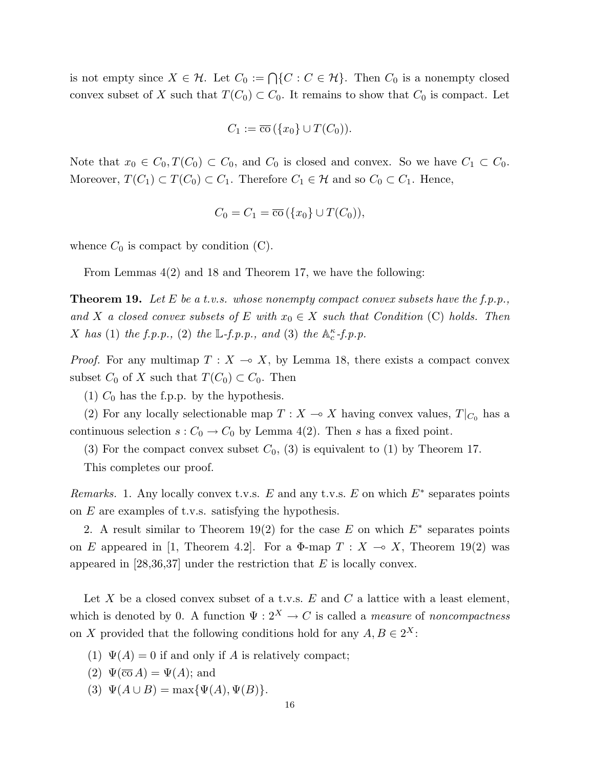is not empty since  $X \in \mathcal{H}$ . Let  $C_0 := \bigcap \{C : C \in \mathcal{H}\}$ . Then  $C_0$  is a nonempty closed convex subset of X such that  $T(C_0) \subset C_0$ . It remains to show that  $C_0$  is compact. Let

$$
C_1 := \overline{\mathrm{co}}\left(\{x_0\} \cup T(C_0)\right).
$$

Note that  $x_0 \in C_0, T(C_0) \subset C_0$ , and  $C_0$  is closed and convex. So we have  $C_1 \subset C_0$ . Moreover,  $T(C_1) \subset T(C_0) \subset C_1$ . Therefore  $C_1 \in \mathcal{H}$  and so  $C_0 \subset C_1$ . Hence,

$$
C_0 = C_1 = \overline{\mathrm{co}}\left(\{x_0\} \cup T(C_0)\right),
$$

whence  $C_0$  is compact by condition (C).

From Lemmas 4(2) and 18 and Theorem 17, we have the following:

**Theorem 19.** Let E be a t.v.s. whose nonempty compact convex subsets have the f.p.p., and X a closed convex subsets of E with  $x_0 \in X$  such that Condition (C) holds. Then X has (1) the f.p.p., (2) the L-f.p.p., and (3) the  $\mathbb{A}_c^{\kappa}$ -f.p.p.

*Proof.* For any multimap  $T : X \to X$ , by Lemma 18, there exists a compact convex subset  $C_0$  of X such that  $T(C_0) \subset C_0$ . Then

(1)  $C_0$  has the f.p.p. by the hypothesis.

(2) For any locally selectionable map  $T : X \longrightarrow X$  having convex values,  $T|_{C_0}$  has a continuous selection  $s: C_0 \to C_0$  by Lemma 4(2). Then s has a fixed point.

(3) For the compact convex subset  $C_0$ , (3) is equivalent to (1) by Theorem 17.

This completes our proof.

Remarks. 1. Any locally convex t.v.s. E and any t.v.s. E on which  $E^*$  separates points on  $E$  are examples of t.v.s. satisfying the hypothesis.

2. A result similar to Theorem 19(2) for the case  $E$  on which  $E^*$  separates points on E appeared in [1, Theorem 4.2]. For a  $\Phi$ -map  $T : X \to X$ , Theorem 19(2) was appeared in [28,36,37] under the restriction that  $E$  is locally convex.

Let X be a closed convex subset of a t.v.s.  $E$  and  $C$  a lattice with a least element, which is denoted by 0. A function  $\Psi: 2^X \to C$  is called a *measure* of noncompactness on X provided that the following conditions hold for any  $A, B \in 2^X$ :

- (1)  $\Psi(A) = 0$  if and only if A is relatively compact;
- $(2) \Psi(\overline{\text{co}} A) = \Psi(A);$  and
- (3)  $\Psi(A \cup B) = \max{\Psi(A), \Psi(B)}.$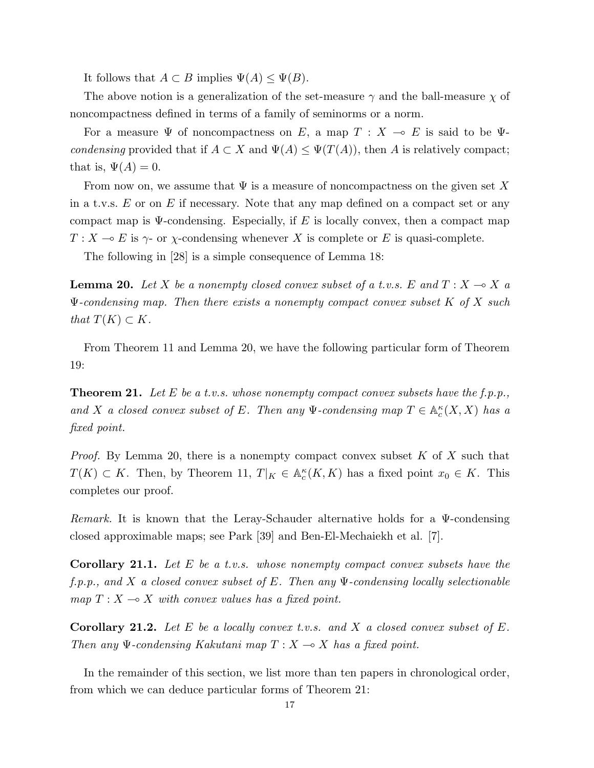It follows that  $A \subset B$  implies  $\Psi(A) \leq \Psi(B)$ .

The above notion is a generalization of the set-measure  $\gamma$  and the ball-measure  $\chi$  of noncompactness defined in terms of a family of seminorms or a norm.

For a measure  $\Psi$  of noncompactness on E, a map  $T : X \multimap E$  is said to be  $\Psi$ condensing provided that if  $A \subset X$  and  $\Psi(A) \leq \Psi(T(A))$ , then A is relatively compact; that is,  $\Psi(A) = 0$ .

From now on, we assume that  $\Psi$  is a measure of noncompactness on the given set X in a t.v.s.  $E$  or on  $E$  if necessary. Note that any map defined on a compact set or any compact map is  $\Psi$ -condensing. Especially, if E is locally convex, then a compact map  $T : X \longrightarrow E$  is  $\gamma$ - or  $\chi$ -condensing whenever X is complete or E is quasi-complete.

The following in [28] is a simple consequence of Lemma 18:

**Lemma 20.** Let X be a nonempty closed convex subset of a t.v.s. E and  $T : X \rightarrow X$  a  $\Psi$ -condensing map. Then there exists a nonempty compact convex subset K of X such that  $T(K) \subset K$ .

From Theorem 11 and Lemma 20, we have the following particular form of Theorem 19:

**Theorem 21.** Let E be a t.v.s. whose nonempty compact convex subsets have the f.p.p., and X a closed convex subset of E. Then any  $\Psi$ -condensing map  $T \in \mathbb{A}_c^{\kappa}(X,X)$  has a fixed point.

*Proof.* By Lemma 20, there is a nonempty compact convex subset  $K$  of  $X$  such that  $T(K) \subset K$ . Then, by Theorem 11,  $T|_K \in \mathbb{A}_c^{\kappa}(K,K)$  has a fixed point  $x_0 \in K$ . This completes our proof.

*Remark.* It is known that the Leray-Schauder alternative holds for a  $\Psi$ -condensing closed approximable maps; see Park [39] and Ben-El-Mechaiekh et al. [7].

Corollary 21.1. Let E be a t.v.s. whose nonempty compact convex subsets have the f.p.p., and X a closed convex subset of E. Then any  $\Psi$ -condensing locally selectionable map  $T : X \longrightarrow X$  with convex values has a fixed point.

**Corollary 21.2.** Let E be a locally convex t.v.s. and X a closed convex subset of E. Then any  $\Psi$ -condensing Kakutani map  $T : X \longrightarrow X$  has a fixed point.

In the remainder of this section, we list more than ten papers in chronological order, from which we can deduce particular forms of Theorem 21: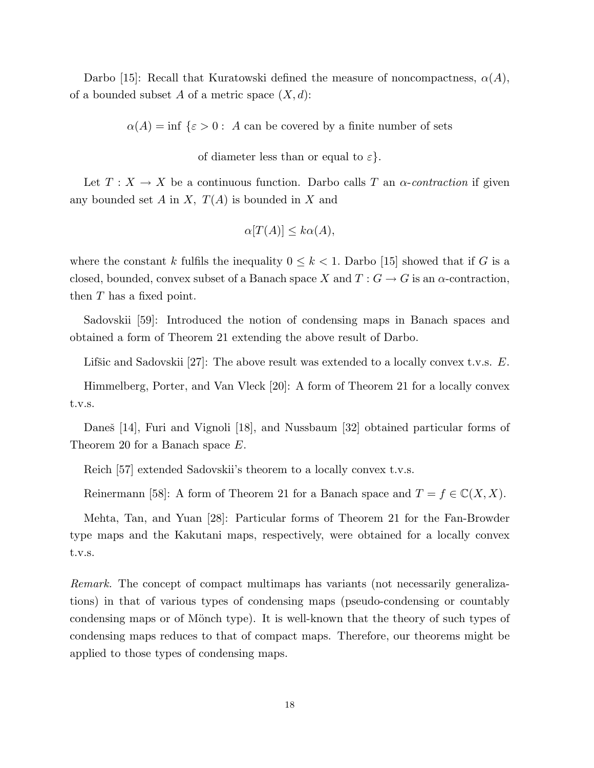Darbo [15]: Recall that Kuratowski defined the measure of noncompactness,  $\alpha(A)$ , of a bounded subset A of a metric space  $(X, d)$ :

 $\alpha(A) = \inf \{\varepsilon > 0: A \text{ can be covered by a finite number of sets }\}$ 

of diameter less than or equal to  $\varepsilon$ .

Let  $T : X \to X$  be a continuous function. Darbo calls T an  $\alpha$ -contraction if given any bounded set A in X,  $T(A)$  is bounded in X and

$$
\alpha[T(A)] \le k\alpha(A),
$$

where the constant k fulfils the inequality  $0 \leq k < 1$ . Darbo [15] showed that if G is a closed, bounded, convex subset of a Banach space X and  $T: G \to G$  is an  $\alpha$ -contraction, then  $T$  has a fixed point.

Sadovskii [59]: Introduced the notion of condensing maps in Banach spaces and obtained a form of Theorem 21 extending the above result of Darbo.

Lifisic and Sadovskii [27]: The above result was extended to a locally convex t.v.s.  $E$ .

Himmelberg, Porter, and Van Vleck [20]: A form of Theorem 21 for a locally convex t.v.s.

Daneš [14], Furi and Vignoli [18], and Nussbaum [32] obtained particular forms of Theorem 20 for a Banach space E.

Reich [57] extended Sadovskii's theorem to a locally convex t.v.s.

Reinermann [58]: A form of Theorem 21 for a Banach space and  $T = f \in \mathbb{C}(X, X)$ .

Mehta, Tan, and Yuan [28]: Particular forms of Theorem 21 for the Fan-Browder type maps and the Kakutani maps, respectively, were obtained for a locally convex t.v.s.

Remark. The concept of compact multimaps has variants (not necessarily generalizations) in that of various types of condensing maps (pseudo-condensing or countably condensing maps or of Mönch type). It is well-known that the theory of such types of condensing maps reduces to that of compact maps. Therefore, our theorems might be applied to those types of condensing maps.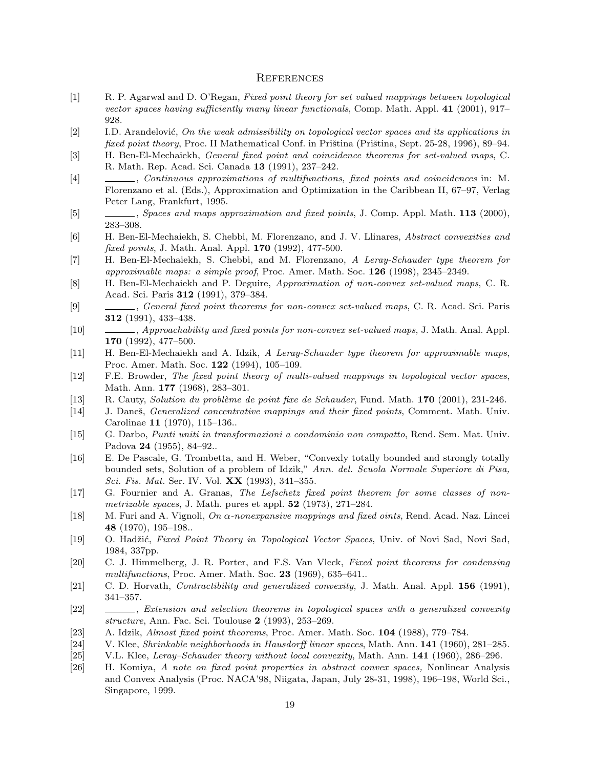#### **REFERENCES**

- [1] R. P. Agarwal and D. O'Regan, Fixed point theory for set valued mappings between topological vector spaces having sufficiently many linear functionals, Comp. Math. Appl. 41 (2001), 917– 928.
- [2] I.D. Arandelović, On the weak admissibility on topological vector spaces and its applications in fixed point theory, Proc. II Mathematical Conf. in Priština (Priština, Sept. 25-28, 1996), 89–94.
- [3] H. Ben-El-Mechaiekh, General fixed point and coincidence theorems for set-valued maps, C. R. Math. Rep. Acad. Sci. Canada 13 (1991), 237–242.
- [4] , Continuous approximations of multifunctions, fixed points and coincidences in: M. Florenzano et al. (Eds.), Approximation and Optimization in the Caribbean II, 67–97, Verlag Peter Lang, Frankfurt, 1995.
- [5] , Spaces and maps approximation and fixed points, J. Comp. Appl. Math. 113 (2000), 283–308.
- [6] H. Ben-El-Mechaiekh, S. Chebbi, M. Florenzano, and J. V. Llinares, Abstract convexities and fixed points, J. Math. Anal. Appl. 170 (1992), 477-500.
- [7] H. Ben-El-Mechaiekh, S. Chebbi, and M. Florenzano, A Leray-Schauder type theorem for approximable maps: a simple proof, Proc. Amer. Math. Soc. 126 (1998), 2345–2349.
- [8] H. Ben-El-Mechaiekh and P. Deguire, Approximation of non-convex set-valued maps, C. R. Acad. Sci. Paris 312 (1991), 379–384.
- [9] , General fixed point theorems for non-convex set-valued maps, C. R. Acad. Sci. Paris 312 (1991), 433–438.
- [10] , Approachability and fixed points for non-convex set-valued maps, J. Math. Anal. Appl. 170 (1992), 477–500.
- [11] H. Ben-El-Mechaiekh and A. Idzik, A Leray-Schauder type theorem for approximable maps, Proc. Amer. Math. Soc. 122 (1994), 105–109.
- [12] F.E. Browder, The fixed point theory of multi-valued mappings in topological vector spaces, Math. Ann. 177 (1968), 283–301.
- [13] R. Cauty, Solution du problème de point fixe de Schauder, Fund. Math. 170 (2001), 231-246.
- [14] J. Daneš, *Generalized concentrative mappings and their fixed points*, Comment. Math. Univ. Carolinae 11 (1970), 115–136..
- [15] G. Darbo, Punti uniti in transformazioni a condominio non compatto, Rend. Sem. Mat. Univ. Padova 24 (1955), 84–92..
- [16] E. De Pascale, G. Trombetta, and H. Weber, "Convexly totally bounded and strongly totally bounded sets, Solution of a problem of Idzik," Ann. del. Scuola Normale Superiore di Pisa, Sci. Fis. Mat. Ser. IV. Vol. **XX** (1993), 341-355.
- [17] G. Fournier and A. Granas, The Lefschetz fixed point theorem for some classes of nonmetrizable spaces, J. Math. pures et appl. 52 (1973), 271–284.
- [18] M. Furi and A. Vignoli, On α-nonexpansive mappings and fixed oints, Rend. Acad. Naz. Lincei 48 (1970), 195–198..
- [19] O. Hadžić, Fixed Point Theory in Topological Vector Spaces, Univ. of Novi Sad, Novi Sad, 1984, 337pp.
- [20] C. J. Himmelberg, J. R. Porter, and F.S. Van Vleck, Fixed point theorems for condensing multifunctions, Proc. Amer. Math. Soc. 23 (1969), 635-641..
- [21] C. D. Horvath, *Contractibility and generalized convexity*, J. Math. Anal. Appl. **156** (1991), 341–357.
- [22] , Extension and selection theorems in topological spaces with a generalized convexity structure, Ann. Fac. Sci. Toulouse  $2$  (1993), 253–269.
- [23] A. Idzik, Almost fixed point theorems, Proc. Amer. Math. Soc. 104 (1988), 779–784.
- [24] V. Klee, Shrinkable neighborhoods in Hausdorff linear spaces, Math. Ann. 141 (1960), 281–285.
- [25] V.L. Klee, Leray–Schauder theory without local convexity, Math. Ann. 141 (1960), 286–296.
- [26] H. Komiya, A note on fixed point properties in abstract convex spaces, Nonlinear Analysis and Convex Analysis (Proc. NACA'98, Niigata, Japan, July 28-31, 1998), 196–198, World Sci., Singapore, 1999.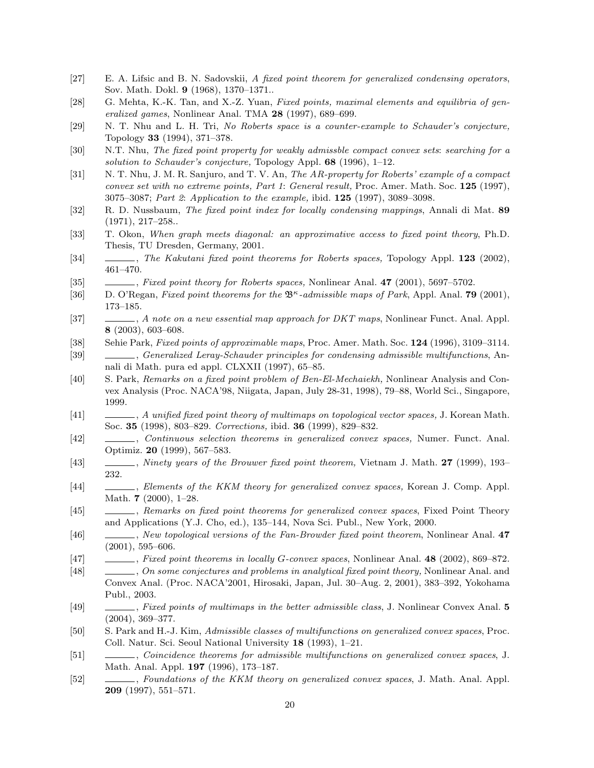- [27] E. A. Lifsic and B. N. Sadovskii, A fixed point theorem for generalized condensing operators, Sov. Math. Dokl. 9 (1968), 1370–1371..
- [28] G. Mehta, K.-K. Tan, and X.-Z. Yuan, Fixed points, maximal elements and equilibria of generalized games, Nonlinear Anal. TMA 28 (1997), 689–699.
- [29] N. T. Nhu and L. H. Tri, No Roberts space is a counter-example to Schauder's conjecture, Topology 33 (1994), 371–378.
- [30] N.T. Nhu, The fixed point property for weakly admissble compact convex sets: searching for a solution to Schauder's conjecture, Topology Appl. 68 (1996), 1-12.
- [31] N. T. Nhu, J. M. R. Sanjuro, and T. V. An, The AR-property for Roberts' example of a compact convex set with no extreme points, Part 1: General result, Proc. Amer. Math. Soc. 125 (1997), 3075–3087; Part 2: Application to the example, ibid. 125 (1997), 3089–3098.
- [32] R. D. Nussbaum, The fixed point index for locally condensing mappings, Annali di Mat. 89 (1971), 217–258..
- [33] T. Okon, When graph meets diagonal: an approximative access to fixed point theory, Ph.D. Thesis, TU Dresden, Germany, 2001.
- [34] , The Kakutani fixed point theorems for Roberts spaces, Topology Appl. 123 (2002), 461–470.
- [35] , Fixed point theory for Roberts spaces, Nonlinear Anal. 47 (2001), 5697–5702.
- [36] D. O'Regan, Fixed point theorems for the  $\mathfrak{B}^{\kappa}$ -admissible maps of Park, Appl. Anal. **79** (2001), 173–185.
- [37] , A note on a new essential map approach for DKT maps, Nonlinear Funct. Anal. Appl. 8 (2003), 603–608.
- [38] Sehie Park, Fixed points of approximable maps, Proc. Amer. Math. Soc. 124 (1996), 3109–3114.
- [39] , Generalized Leray-Schauder principles for condensing admissible multifunctions, Annali di Math. pura ed appl. CLXXII (1997), 65–85.
- [40] S. Park, Remarks on a fixed point problem of Ben-El-Mechaiekh, Nonlinear Analysis and Convex Analysis (Proc. NACA'98, Niigata, Japan, July 28-31, 1998), 79–88, World Sci., Singapore, 1999.
- [41] , A unified fixed point theory of multimaps on topological vector spaces, J. Korean Math. Soc. 35 (1998), 803–829. Corrections, ibid. 36 (1999), 829–832.
- [42] , Continuous selection theorems in generalized convex spaces, Numer. Funct. Anal. Optimiz. 20 (1999), 567–583.
- [43] , Ninety years of the Brouwer fixed point theorem, Vietnam J. Math. 27 (1999), 193– 232.
- [44] , Elements of the KKM theory for generalized convex spaces, Korean J. Comp. Appl. Math. 7 (2000), 1–28.
- [45] , Remarks on fixed point theorems for generalized convex spaces, Fixed Point Theory and Applications (Y.J. Cho, ed.), 135–144, Nova Sci. Publ., New York, 2000.
- [46] , New topological versions of the Fan-Browder fixed point theorem, Nonlinear Anal. 47 (2001), 595–606.
- [47] , Fixed point theorems in locally G-convex spaces, Nonlinear Anal. 48 (2002), 869–872.
- [48] , On some conjectures and problems in analytical fixed point theory, Nonlinear Anal. and Convex Anal. (Proc. NACA'2001, Hirosaki, Japan, Jul. 30–Aug. 2, 2001), 383–392, Yokohama Publ., 2003.
- [49] , Fixed points of multimaps in the better admissible class, J. Nonlinear Convex Anal. 5 (2004), 369–377.
- [50] S. Park and H.-J. Kim, Admissible classes of multifunctions on generalized convex spaces, Proc. Coll. Natur. Sci. Seoul National University 18 (1993), 1–21.
- [51] , Coincidence theorems for admissible multifunctions on generalized convex spaces, J. Math. Anal. Appl. 197 (1996), 173–187.
- [52] , Foundations of the KKM theory on generalized convex spaces, J. Math. Anal. Appl. 209 (1997), 551–571.